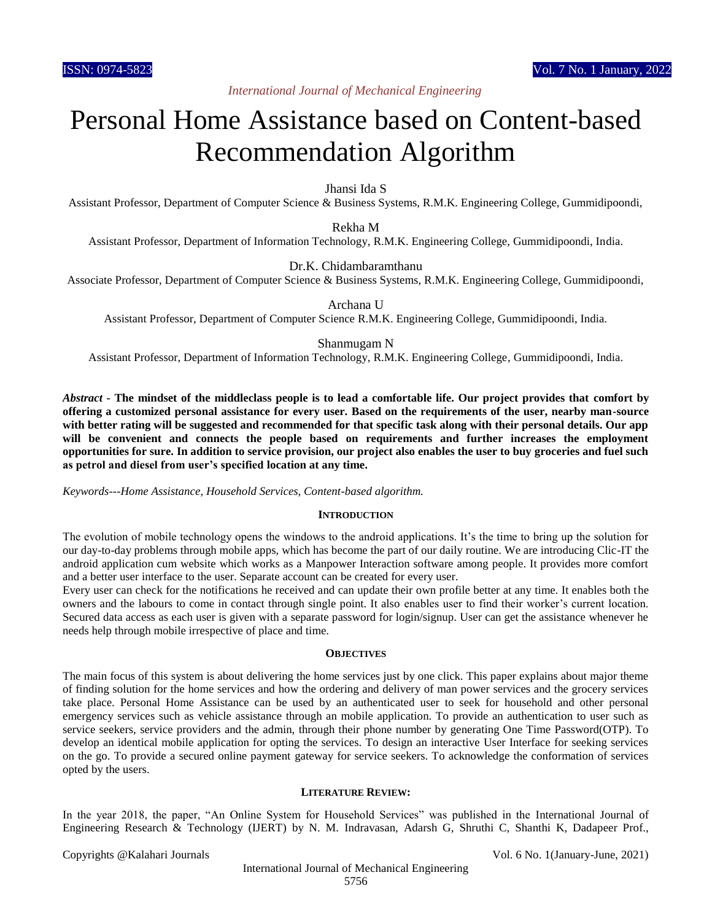# Personal Home Assistance based on Content-based Recommendation Algorithm

Jhansi Ida S

Assistant Professor, Department of Computer Science & Business Systems, R.M.K. Engineering College, Gummidipoondi,

Rekha M

Assistant Professor, Department of Information Technology, R.M.K. Engineering College, Gummidipoondi, India.

Dr.K. Chidambaramthanu

Associate Professor, Department of Computer Science & Business Systems, R.M.K. Engineering College, Gummidipoondi,

Archana U

Assistant Professor, Department of Computer Science R.M.K. Engineering College, Gummidipoondi, India.

#### Shanmugam N

Assistant Professor, Department of Information Technology, R.M.K. Engineering College, Gummidipoondi, India.

*Abstract* **- The mindset of the middleclass people is to lead a comfortable life. Our project provides that comfort by offering a customized personal assistance for every user. Based on the requirements of the user, nearby man-source with better rating will be suggested and recommended for that specific task along with their personal details. Our app will be convenient and connects the people based on requirements and further increases the employment opportunities for sure. In addition to service provision, our project also enables the user to buy groceries and fuel such as petrol and diesel from user's specified location at any time.**

*Keywords---Home Assistance, Household Services, Content-based algorithm.*

#### **INTRODUCTION**

The evolution of mobile technology opens the windows to the android applications. It's the time to bring up the solution for our day-to-day problems through mobile apps, which has become the part of our daily routine. We are introducing Clic-IT the android application cum website which works as a Manpower Interaction software among people. It provides more comfort and a better user interface to the user. Separate account can be created for every user.

Every user can check for the notifications he received and can update their own profile better at any time. It enables both the owners and the labours to come in contact through single point. It also enables user to find their worker's current location. Secured data access as each user is given with a separate password for login/signup. User can get the assistance whenever he needs help through mobile irrespective of place and time.

#### **OBJECTIVES**

The main focus of this system is about delivering the home services just by one click. This paper explains about major theme of finding solution for the home services and how the ordering and delivery of man power services and the grocery services take place. Personal Home Assistance can be used by an authenticated user to seek for household and other personal emergency services such as vehicle assistance through an mobile application. To provide an authentication to user such as service seekers, service providers and the admin, through their phone number by generating One Time Password(OTP). To develop an identical mobile application for opting the services. To design an interactive User Interface for seeking services on the go. To provide a secured online payment gateway for service seekers. To acknowledge the conformation of services opted by the users.

#### **LITERATURE REVIEW:**

In the year 2018, the paper, "An Online System for Household Services" was published in the International Journal of Engineering Research & Technology (IJERT) by N. M. Indravasan, Adarsh G, Shruthi C, Shanthi K, Dadapeer Prof.,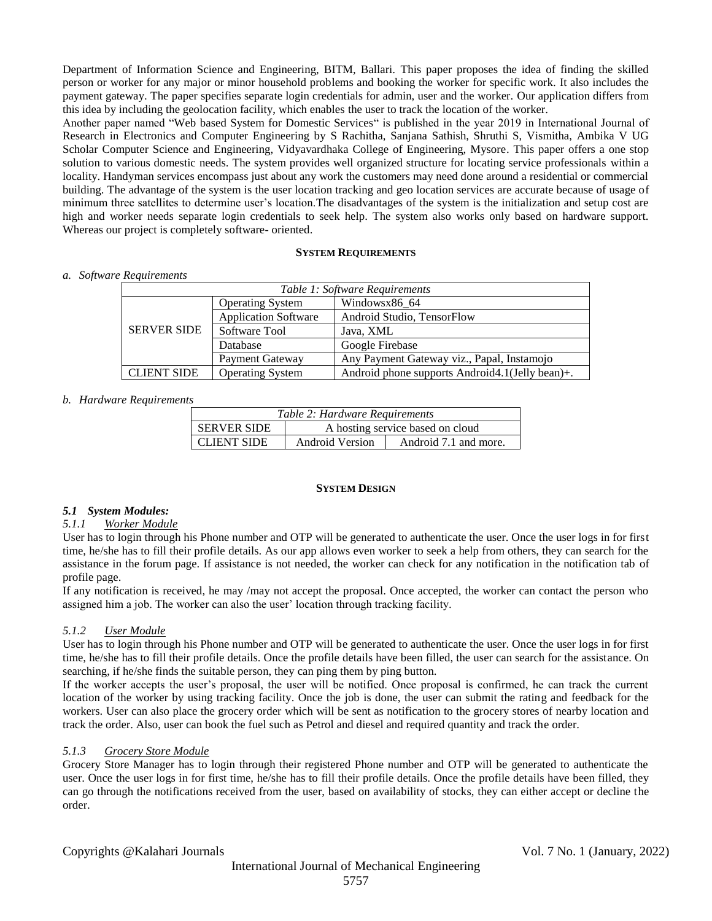Department of Information Science and Engineering, BITM, Ballari. This paper proposes the idea of finding the skilled person or worker for any major or minor household problems and booking the worker for specific work. It also includes the payment gateway. The paper specifies separate login credentials for admin, user and the worker. Our application differs from this idea by including the geolocation facility, which enables the user to track the location of the worker.

Another paper named "Web based System for Domestic Services" is published in the year 2019 in International Journal of Research in Electronics and Computer Engineering by S Rachitha, Sanjana Sathish, Shruthi S, Vismitha, Ambika V UG Scholar Computer Science and Engineering, Vidyavardhaka College of Engineering, Mysore. This paper offers a one stop solution to various domestic needs. The system provides well organized structure for locating service professionals within a locality. Handyman services encompass just about any work the customers may need done around a residential or commercial building. The advantage of the system is the user location tracking and geo location services are accurate because of usage of minimum three satellites to determine user's location.The disadvantages of the system is the initialization and setup cost are high and worker needs separate login credentials to seek help. The system also works only based on hardware support. Whereas our project is completely software- oriented.

#### **SYSTEM REQUIREMENTS**

*a. Software Requirements*

|                    |                             | Table 1: Software Requirements                     |
|--------------------|-----------------------------|----------------------------------------------------|
|                    | <b>Operating System</b>     | Windowsx86 64                                      |
|                    | <b>Application Software</b> | Android Studio, TensorFlow                         |
| <b>SERVER SIDE</b> | Software Tool               | Java, XML                                          |
|                    | Database                    | Google Firebase                                    |
|                    | Payment Gateway             | Any Payment Gateway viz., Papal, Instamojo         |
| <b>CLIENT SIDE</b> | <b>Operating System</b>     | Android phone supports Android 4.1 (Jelly bean) +. |

# *b. Hardware Requirements*

|                    | Table 2: Hardware Requirements |                                  |
|--------------------|--------------------------------|----------------------------------|
| <b>SERVER SIDE</b> |                                | A hosting service based on cloud |
| <b>CLIENT SIDE</b> | <b>Android Version</b>         | Android 7.1 and more.            |

#### **SYSTEM DESIGN**

# *5.1 System Modules:*

# *5.1.1 Worker Module*

User has to login through his Phone number and OTP will be generated to authenticate the user. Once the user logs in for first time, he/she has to fill their profile details. As our app allows even worker to seek a help from others, they can search for the assistance in the forum page. If assistance is not needed, the worker can check for any notification in the notification tab of profile page.

If any notification is received, he may /may not accept the proposal. Once accepted, the worker can contact the person who assigned him a job. The worker can also the user' location through tracking facility.

# *5.1.2 User Module*

User has to login through his Phone number and OTP will be generated to authenticate the user. Once the user logs in for first time, he/she has to fill their profile details. Once the profile details have been filled, the user can search for the assistance. On searching, if he/she finds the suitable person, they can ping them by ping button.

If the worker accepts the user's proposal, the user will be notified. Once proposal is confirmed, he can track the current location of the worker by using tracking facility. Once the job is done, the user can submit the rating and feedback for the workers. User can also place the grocery order which will be sent as notification to the grocery stores of nearby location and track the order. Also, user can book the fuel such as Petrol and diesel and required quantity and track the order.

# *5.1.3 Grocery Store Module*

Grocery Store Manager has to login through their registered Phone number and OTP will be generated to authenticate the user. Once the user logs in for first time, he/she has to fill their profile details. Once the profile details have been filled, they can go through the notifications received from the user, based on availability of stocks, they can either accept or decline the order.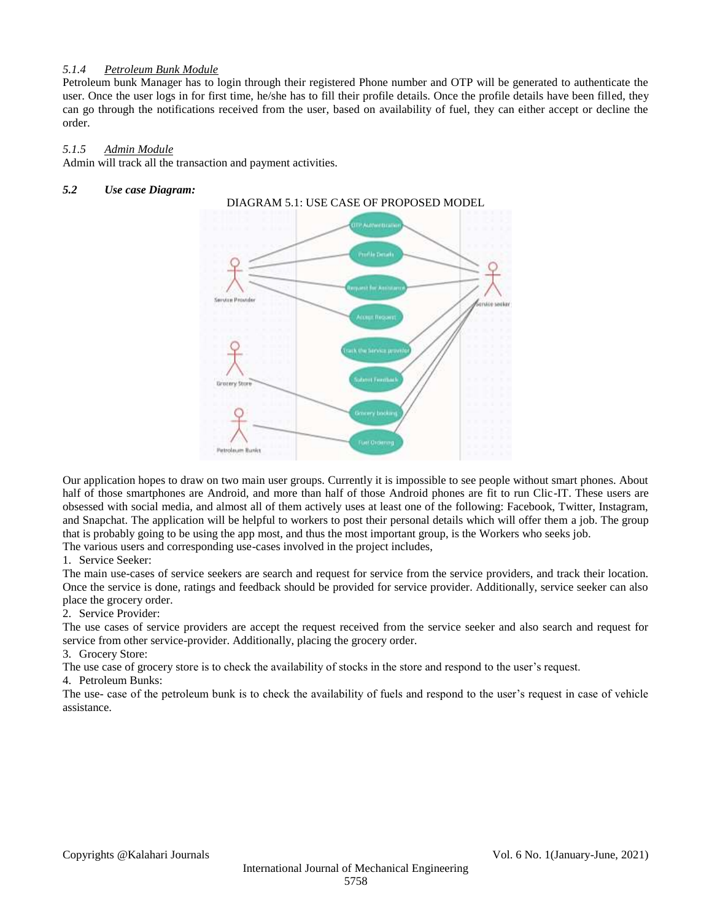# *5.1.4 Petroleum Bunk Module*

Petroleum bunk Manager has to login through their registered Phone number and OTP will be generated to authenticate the user. Once the user logs in for first time, he/she has to fill their profile details. Once the profile details have been filled, they can go through the notifications received from the user, based on availability of fuel, they can either accept or decline the order.

### *5.1.5 Admin Module*

Admin will track all the transaction and payment activities.

#### *5.2 Use case Diagram:*



Our application hopes to draw on two main user groups. Currently it is impossible to see people without smart phones. About half of those smartphones are Android, and more than half of those Android phones are fit to run Clic-IT. These users are obsessed with social media, and almost all of them actively uses at least one of the following: Facebook, Twitter, Instagram, and Snapchat. The application will be helpful to workers to post their personal details which will offer them a job. The group that is probably going to be using the app most, and thus the most important group, is the Workers who seeks job. The various users and corresponding use-cases involved in the project includes,

#### 1. Service Seeker:

The main use-cases of service seekers are search and request for service from the service providers, and track their location. Once the service is done, ratings and feedback should be provided for service provider. Additionally, service seeker can also place the grocery order.

# 2. Service Provider:

The use cases of service providers are accept the request received from the service seeker and also search and request for service from other service-provider. Additionally, placing the grocery order.

3. Grocery Store:

The use case of grocery store is to check the availability of stocks in the store and respond to the user's request.

#### 4. Petroleum Bunks:

The use- case of the petroleum bunk is to check the availability of fuels and respond to the user's request in case of vehicle assistance.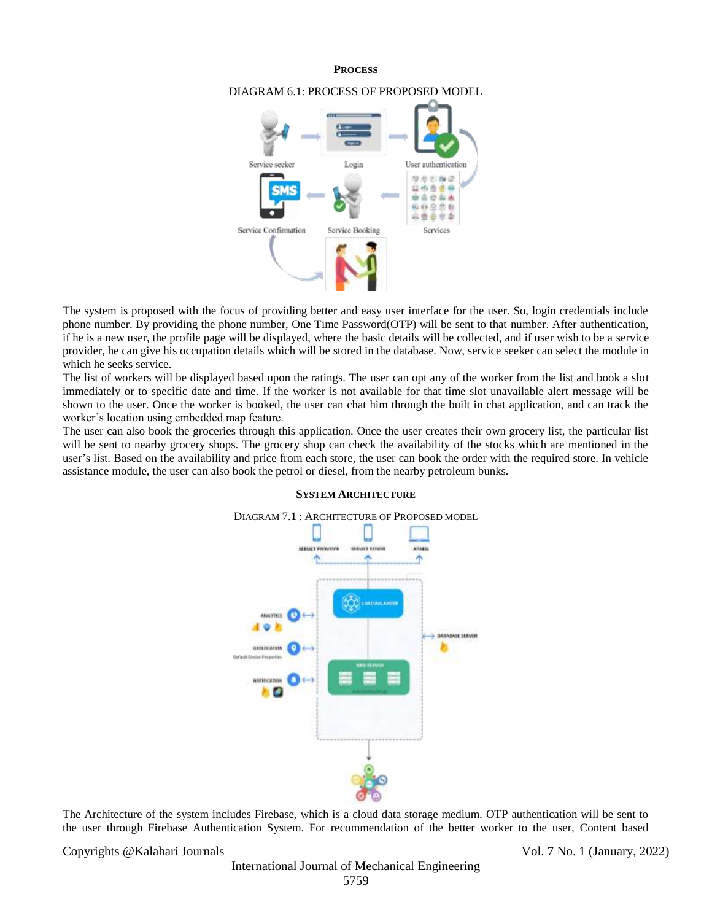#### **PROCESS**



#### DIAGRAM 6.1: PROCESS OF PROPOSED MODEL

The system is proposed with the focus of providing better and easy user interface for the user. So, login credentials include phone number. By providing the phone number, One Time Password(OTP) will be sent to that number. After authentication, if he is a new user, the profile page will be displayed, where the basic details will be collected, and if user wish to be a service provider, he can give his occupation details which will be stored in the database. Now, service seeker can select the module in which he seeks service.

The list of workers will be displayed based upon the ratings. The user can opt any of the worker from the list and book a slot immediately or to specific date and time. If the worker is not available for that time slot unavailable alert message will be shown to the user. Once the worker is booked, the user can chat him through the built in chat application, and can track the worker's location using embedded map feature.

The user can also book the groceries through this application. Once the user creates their own grocery list, the particular list will be sent to nearby grocery shops. The grocery shop can check the availability of the stocks which are mentioned in the user's list. Based on the availability and price from each store, the user can book the order with the required store. In vehicle assistance module, the user can also book the petrol or diesel, from the nearby petroleum bunks.



#### **SYSTEM ARCHITECTURE**

The Architecture of the system includes Firebase, which is a cloud data storage medium. OTP authentication will be sent to the user through Firebase Authentication System. For recommendation of the better worker to the user, Content based

Copyrights @Kalahari Journals Vol. 7 No. 1 (January, 2022)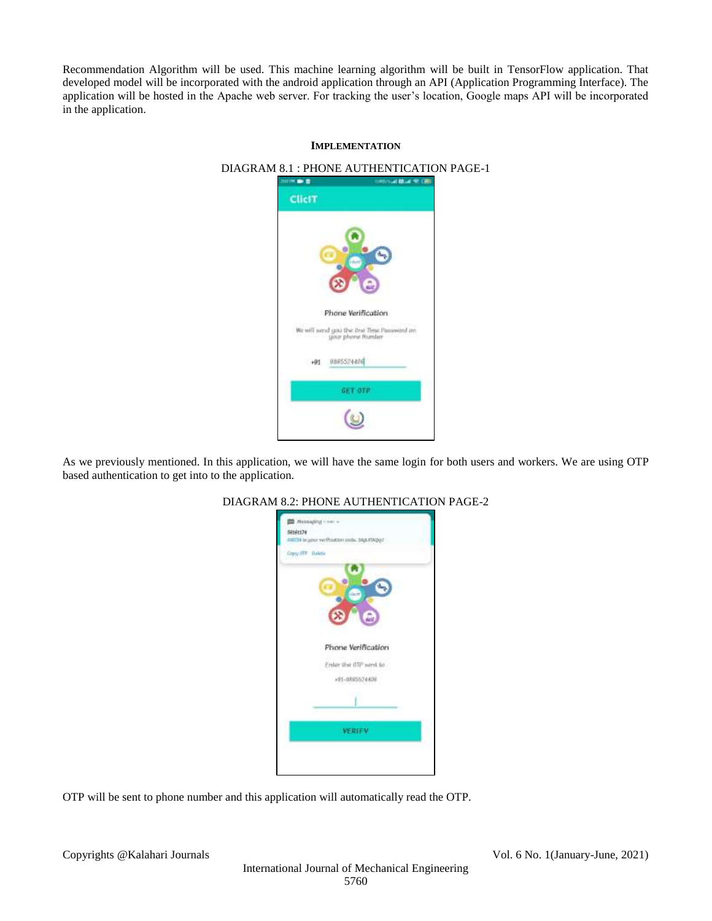Recommendation Algorithm will be used. This machine learning algorithm will be built in TensorFlow application. That developed model will be incorporated with the android application through an API (Application Programming Interface). The application will be hosted in the Apache web server. For tracking the user's location, Google maps API will be incorporated in the application.

# **IMPLEMENTATION** DIAGRAM 8.1 : PHONE AUTHENTICATION PAGE-1

# **WARD** 地名美国沃克尔 ClicIT Phone Verification We will send you the that Time Password on +91 9885524406 GET OFP  $\circledcirc$

As we previously mentioned. In this application, we will have the same login for both users and workers. We are using OTP based authentication to get into to the application.



# DIAGRAM 8.2: PHONE AUTHENTICATION PAGE-2

OTP will be sent to phone number and this application will automatically read the OTP.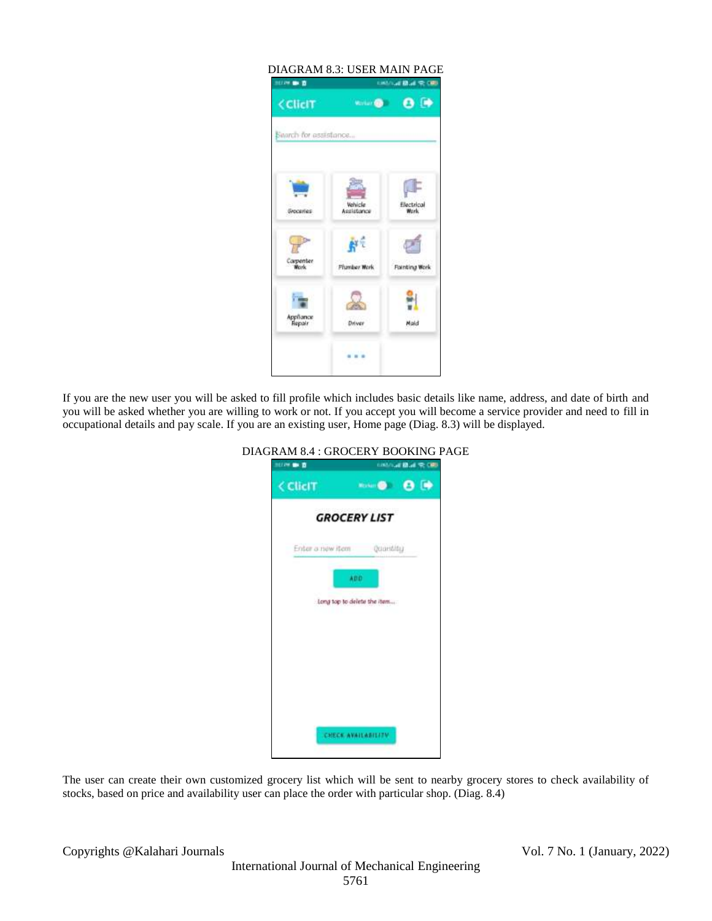| <b>NUMBER</b>            |                       | UNLINE BLUE RECED  |
|--------------------------|-----------------------|--------------------|
| <b>CliciT</b>            | <b>Virtuit Co</b>     | $\bullet$          |
| Search for assistance    |                       |                    |
|                          |                       |                    |
|                          |                       |                    |
| <b><i>GADCETTES</i></b>  | Vehicle<br>Assistance | Electrical<br>Work |
| De                       |                       |                    |
| <b>Carpenter</b><br>Wark | <b>Flumber Work</b>   | Fainting Work      |
|                          |                       |                    |
| Appliance<br>Repair      | Driver                | Maid               |
|                          |                       |                    |
|                          |                       |                    |

If you are the new user you will be asked to fill profile which includes basic details like name, address, and date of birth and you will be asked whether you are willing to work or not. If you accept you will become a service provider and need to fill in occupational details and pay scale. If you are an existing user, Home page (Diag. 8.3) will be displayed.

| <b>NEEDS IN D</b> | <b>CONTRACTOR AND RESIDENCE</b> |  |
|-------------------|---------------------------------|--|
| < ClicIT          | <b>Second C D</b>               |  |
|                   | <b>GROCERY LIST</b>             |  |
|                   | Enter a new item Quantity       |  |
|                   | ADD.                            |  |
|                   | Long top to delete the item     |  |
|                   |                                 |  |
|                   |                                 |  |
|                   |                                 |  |
|                   |                                 |  |
|                   | CHECK AVAILABILITY              |  |
|                   |                                 |  |

DIAGRAM 8.4 : GROCERY BOOKING PAGE

The user can create their own customized grocery list which will be sent to nearby grocery stores to check availability of stocks, based on price and availability user can place the order with particular shop. (Diag. 8.4)

Copyrights @Kalahari Journals Vol. 7 No. 1 (January, 2022)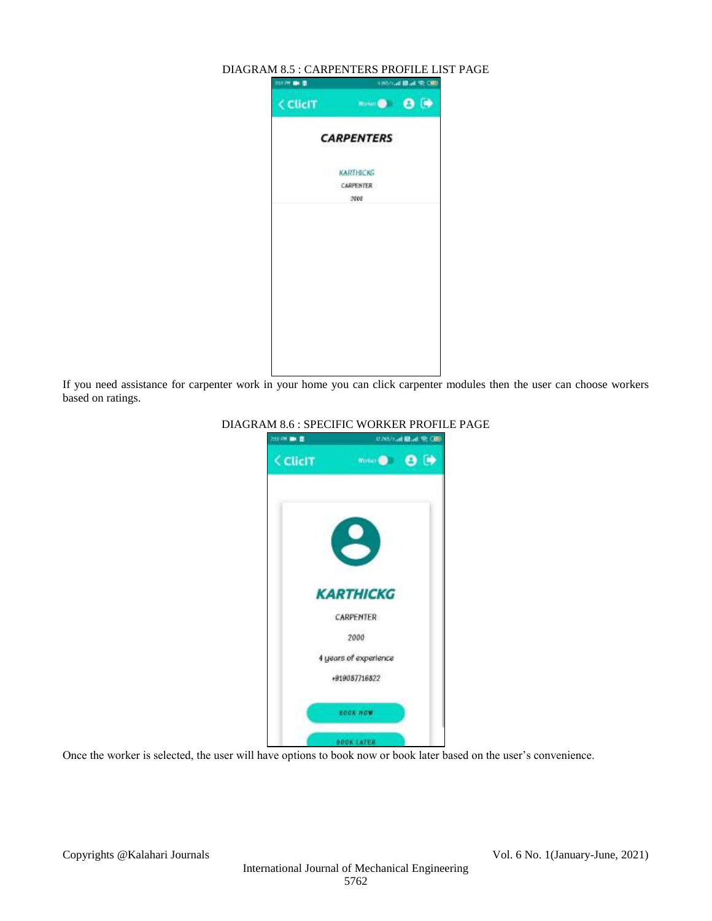# DIAGRAM 8.5 : CARPENTERS PROFILE LIST PAGE **STATE** USING BLACK ORD < ClicIT **WALK OF BRIDE CARPENTERS KARTHICKE** CARPENTER 2000

If you need assistance for carpenter work in your home you can click carpenter modules then the user can choose workers based on ratings.



# DIAGRAM 8.6 : SPECIFIC WORKER PROFILE PAGE

Once the worker is selected, the user will have options to book now or book later based on the user's convenience.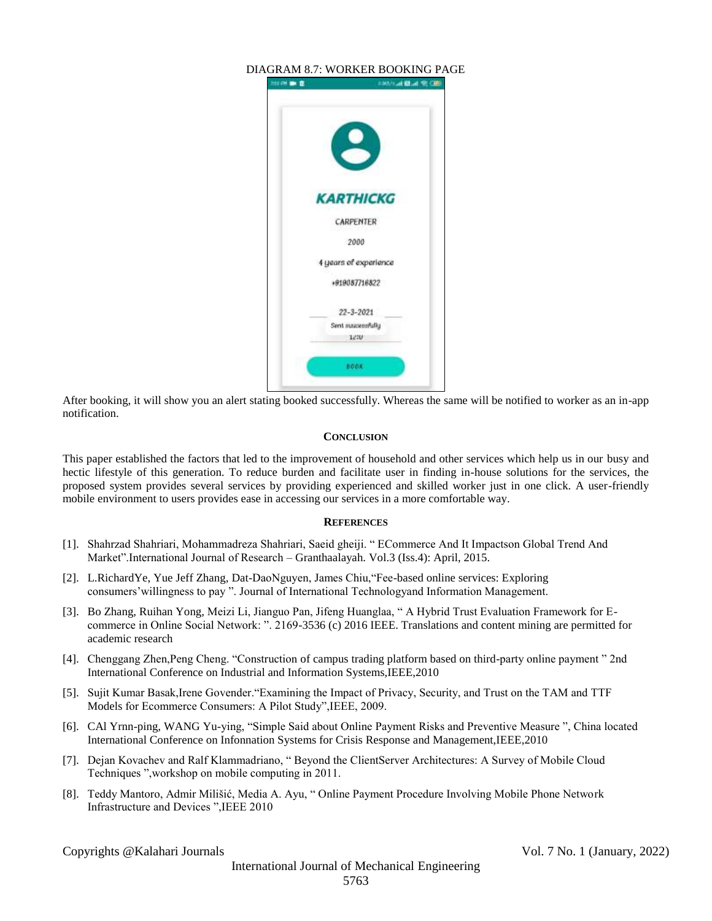

After booking, it will show you an alert stating booked successfully. Whereas the same will be notified to worker as an in-app notification.

#### **CONCLUSION**

This paper established the factors that led to the improvement of household and other services which help us in our busy and hectic lifestyle of this generation. To reduce burden and facilitate user in finding in-house solutions for the services, the proposed system provides several services by providing experienced and skilled worker just in one click. A user-friendly mobile environment to users provides ease in accessing our services in a more comfortable way.

#### **REFERENCES**

- [1]. Shahrzad Shahriari, Mohammadreza Shahriari, Saeid gheiji. " ECommerce And It Impactson Global Trend And Market".International Journal of Research – Granthaalayah. Vol.3 (Iss.4): April, 2015.
- [2]. L.RichardYe, Yue Jeff Zhang, Dat-DaoNguyen, James Chiu,"Fee-based online services: Exploring consumers'willingness to pay ". Journal of International Technologyand Information Management.
- [3]. Bo Zhang, Ruihan Yong, Meizi Li, Jianguo Pan, Jifeng Huanglaa, " A Hybrid Trust Evaluation Framework for Ecommerce in Online Social Network: ". 2169-3536 (c) 2016 IEEE. Translations and content mining are permitted for academic research
- [4]. Chenggang Zhen,Peng Cheng. "Construction of campus trading platform based on third-party online payment " 2nd International Conference on Industrial and Information Systems,IEEE,2010
- [5]. Sujit Kumar Basak,Irene Govender."Examining the Impact of Privacy, Security, and Trust on the TAM and TTF Models for Ecommerce Consumers: A Pilot Study",IEEE, 2009.
- [6]. CAl Yrnn-ping, WANG Yu-ying, "Simple Said about Online Payment Risks and Preventive Measure ", China located International Conference on Infonnation Systems for Crisis Response and Management,IEEE,2010
- [7]. Dejan Kovachev and Ralf Klammadriano, " Beyond the ClientServer Architectures: A Survey of Mobile Cloud Techniques ",workshop on mobile computing in 2011.
- [8]. Teddy Mantoro, Admir Milišić, Media A. Ayu, " Online Payment Procedure Involving Mobile Phone Network Infrastructure and Devices ",IEEE 2010